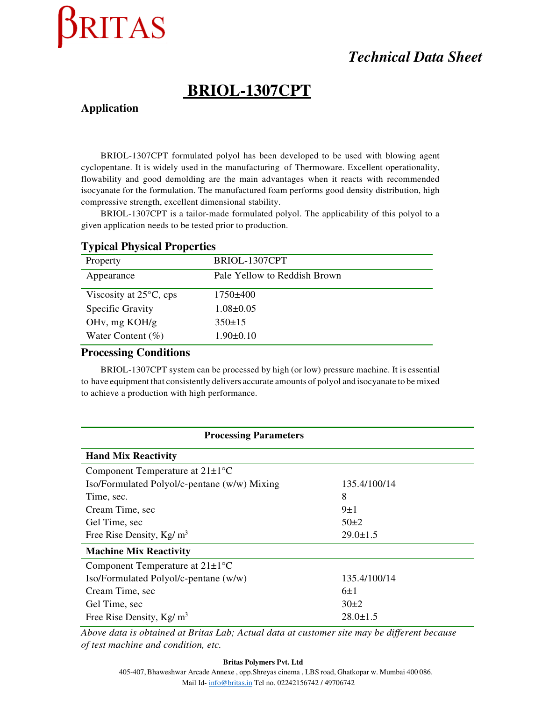# **RITAS**

# *Technical Data Sheet*

# **BRIOL-1307CPT**

## **Application**

BRIOL-1307CPT formulated polyol has been developed to be used with blowing agent cyclopentane. It is widely used in the manufacturing of Thermoware. Excellent operationality, flowability and good demolding are the main advantages when it reacts with recommended isocyanate for the formulation. The manufactured foam performs good density distribution, high compressive strength, excellent dimensional stability.

BRIOL-1307CPT is a tailor-made formulated polyol. The applicability of this polyol to a given application needs to be tested prior to production.

| Property                         | BRIOL-1307CPT                |
|----------------------------------|------------------------------|
| Appearance                       | Pale Yellow to Reddish Brown |
| Viscosity at $25^{\circ}$ C, cps | $1750 \pm 400$               |
| Specific Gravity                 | $1.08 \pm 0.05$              |
| OHv, mg KOH/g                    | $350\pm15$                   |
| Water Content $(\%)$             | $1.90 \pm 0.10$              |

### **Typical Physical Properties**

### **Processing Conditions**

BRIOL-1307CPT system can be processed by high (or low) pressure machine. It is essential to have equipment that consistently delivers accurate amounts of polyol and isocyanate to be mixed to achieve a production with high performance.

| <b>Processing Parameters</b>                       |                |  |
|----------------------------------------------------|----------------|--|
| <b>Hand Mix Reactivity</b>                         |                |  |
| Component Temperature at $21 \pm 1^{\circ}$ C      |                |  |
| Iso/Formulated Polyol/c-pentane (w/w) Mixing       | 135.4/100/14   |  |
| Time, sec.                                         | 8              |  |
| Cream Time, sec                                    | $9\pm1$        |  |
| Gel Time, sec                                      | $50+2$         |  |
| Free Rise Density, $Kg/m^3$                        | $29.0 \pm 1.5$ |  |
| <b>Machine Mix Reactivity</b>                      |                |  |
| Component Temperature at $21 \pm 1$ <sup>o</sup> C |                |  |
| Iso/Formulated Polyol/c-pentane (w/w)              | 135.4/100/14   |  |
| Cream Time, sec                                    | $6\pm1$        |  |
| Gel Time, sec                                      | $30+2$         |  |
| Free Rise Density, $Kg/m^3$                        | $28.0 \pm 1.5$ |  |

*Above data is obtained at Britas Lab; Actual data at customer site may be different because of test machine and condition, etc.*

#### **Britas Polymers Pvt. Ltd**

405-407, Bhaweshwar Arcade Annexe , opp.Shreyas cinema , LBS road, Ghatkopar w. Mumbai 400 086. Mail Id- info@britas.in Tel no. 02242156742 / 49706742